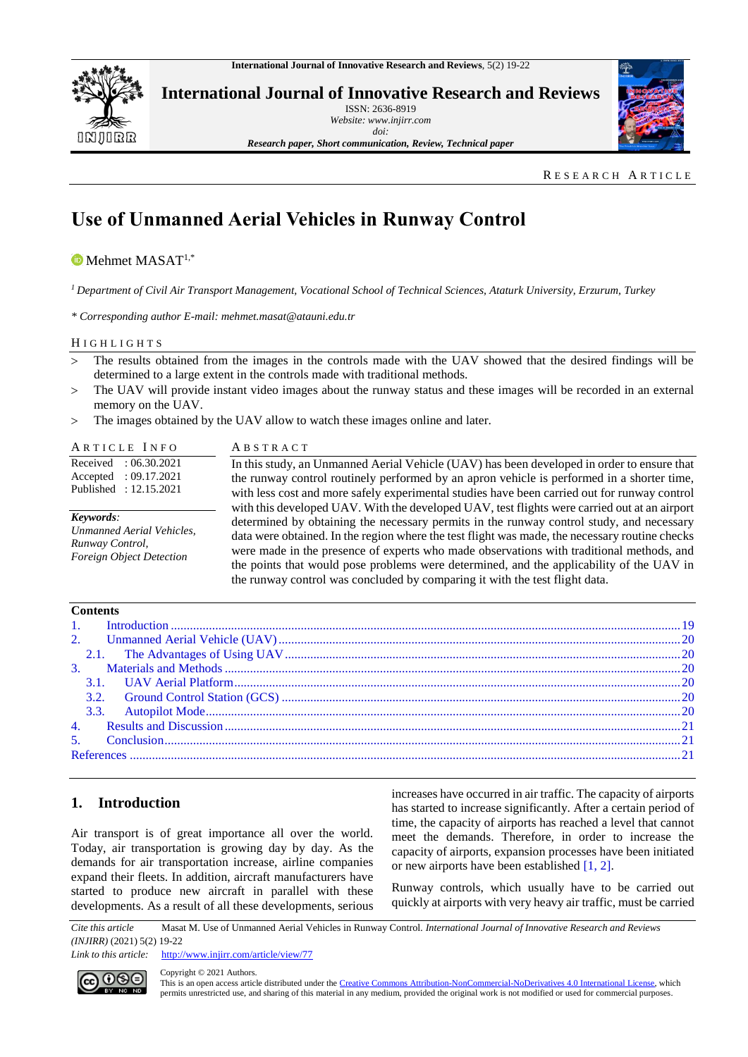

**International Journal of Innovative Research and Reviews** ISSN: 2636-8919

*Website: www.injirr.com doi:*



*Research paper, Short communication, Review, Technical paper*

RESEARCH ARTICLE

# **Use of Unmanned Aerial Vehicles in Runway Control**

## $\bullet$  Mehmet MASAT<sup>1,\*</sup>

*<sup>1</sup>Department of Civil Air Transport Management, Vocational School of Technical Sciences, Ataturk University, Erzurum, Turkey*

*\* Corresponding author E-mail: mehmet.masat@atauni.edu.tr*

#### H I G H L I G H T S

- The results obtained from the images in the controls made with the UAV showed that the desired findings will be determined to a large extent in the controls made with traditional methods.
- The UAV will provide instant video images about the runway status and these images will be recorded in an external memory on the UAV.
- The images obtained by the UAV allow to watch these images online and later.

| ARTICLE INFO                                                                                 | ABSTRACT                                                                                                                                                                                                                                                                                                                                                                                                                                                                                                                                                          |  |
|----------------------------------------------------------------------------------------------|-------------------------------------------------------------------------------------------------------------------------------------------------------------------------------------------------------------------------------------------------------------------------------------------------------------------------------------------------------------------------------------------------------------------------------------------------------------------------------------------------------------------------------------------------------------------|--|
| Received<br>: 06.30.2021<br>: 09.17.2021<br>Accepted<br>Published: 12.15.2021                | In this study, an Unmanned Aerial Vehicle (UAV) has been developed in order to ensure that<br>the runway control routinely performed by an apron vehicle is performed in a shorter time,<br>with less cost and more safely experimental studies have been carried out for runway control                                                                                                                                                                                                                                                                          |  |
| Keywords:<br>Unmanned Aerial Vehicles,<br>Runway Control,<br><b>Foreign Object Detection</b> | with this developed UAV. With the developed UAV, test flights were carried out at an airport<br>determined by obtaining the necessary permits in the runway control study, and necessary<br>data were obtained. In the region where the test flight was made, the necessary routine checks<br>were made in the presence of experts who made observations with traditional methods, and<br>the points that would pose problems were determined, and the applicability of the UAV in<br>the runway control was concluded by comparing it with the test flight data. |  |

| <b>Contents</b> |  |
|-----------------|--|
|                 |  |
|                 |  |
|                 |  |
|                 |  |
|                 |  |
|                 |  |
|                 |  |
|                 |  |
|                 |  |
|                 |  |
|                 |  |

# <span id="page-0-0"></span>**1. Introduction**

Air transport is of great importance all over the world. Today, air transportation is growing day by day. As the demands for air transportation increase, airline companies expand their fleets. In addition, aircraft manufacturers have started to produce new aircraft in parallel with these developments. As a result of all these developments, serious increases have occurred in air traffic. The capacity of airports has started to increase significantly. After a certain period of time, the capacity of airports has reached a level that cannot meet the demands. Therefore, in order to increase the capacity of airports, expansion processes have been initiated or new airports have been established [\[1, 2\].](#page-2-3)

Runway controls, which usually have to be carried out quickly at airports with very heavy air traffic, must be carried

*Cite this article* Masat M. Use of Unmanned Aerial Vehicles in Runway Control*. International Journal of Innovative Research and Reviews (INJIRR)* (2021) 5(2) 19-22

Link to this article: <http://www.injirr.com/article/view/77>



Copyright © 2021 Authors.

This is an open access article distributed under th[e Creative Commons Attribution-NonCommercial-NoDerivatives 4.0 International License,](http://creativecommons.org/licenses/by-nc-nd/4.0/) which permits unrestricted use, and sharing of this material in any medium, provided the original work is not modified or used for commercial purposes.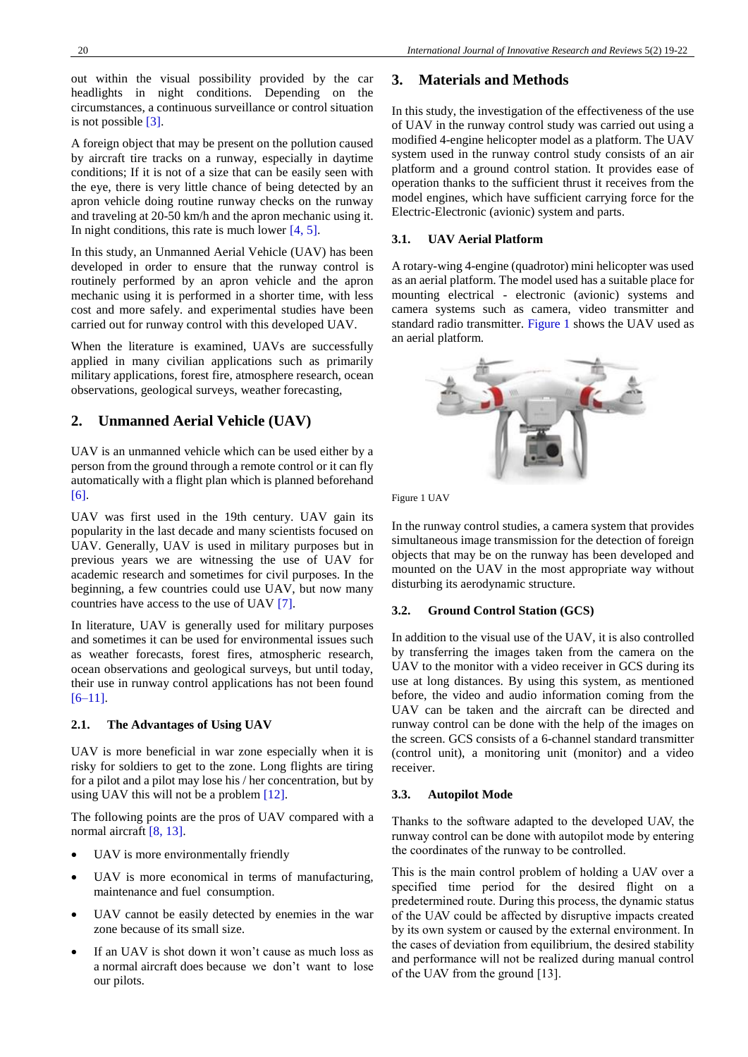out within the visual possibility provided by the car headlights in night conditions. Depending on the circumstances, a continuous surveillance or control situation is not possible [\[3\].](#page-2-4)

A foreign object that may be present on the pollution caused by aircraft tire tracks on a runway, especially in daytime conditions; If it is not of a size that can be easily seen with the eye, there is very little chance of being detected by an apron vehicle doing routine runway checks on the runway and traveling at 20-50 km/h and the apron mechanic using it. In night conditions, this rate is much lower [\[4, 5\].](#page-3-0)

In this study, an Unmanned Aerial Vehicle (UAV) has been developed in order to ensure that the runway control is routinely performed by an apron vehicle and the apron mechanic using it is performed in a shorter time, with less cost and more safely. and experimental studies have been carried out for runway control with this developed UAV.

When the literature is examined, UAVs are successfully applied in many civilian applications such as primarily military applications, forest fire, atmosphere research, ocean observations, geological surveys, weather forecasting,

# <span id="page-1-0"></span>**2. Unmanned Aerial Vehicle (UAV)**

UAV is an unmanned vehicle which can be used either by a person from the ground through a remote control or it can fly automatically with a flight plan which is planned beforehand [\[6\].](#page-3-1)

UAV was first used in the 19th century. UAV gain its popularity in the last decade and many scientists focused on UAV. Generally, UAV is used in military purposes but in previous years we are witnessing the use of UAV for academic research and sometimes for civil purposes. In the beginning, a few countries could use UAV, but now many countries have access to the use of UAV [\[7\].](#page-3-2)

In literature, UAV is generally used for military purposes and sometimes it can be used for environmental issues such as weather forecasts, forest fires, atmospheric research, ocean observations and geological surveys, but until today, their use in runway control applications has not been found [\[6–11\].](#page-3-1)

### <span id="page-1-1"></span>**2.1. The Advantages of Using UAV**

UAV is more beneficial in war zone especially when it is risky for soldiers to get to the zone. Long flights are tiring for a pilot and a pilot may lose his / her concentration, but by using UAV this will not be a problem [\[12\].](#page-3-3)

The following points are the pros of UAV compared with a normal aircraft [\[8, 13\].](#page-3-4)

- UAV is more environmentally friendly
- UAV is more economical in terms of manufacturing, maintenance and fuel consumption.
- UAV cannot be easily detected by enemies in the war zone because of its small size.
- If an UAV is shot down it won't cause as much loss as a normal aircraft does because we don't want to lose our pilots.

## <span id="page-1-2"></span>**3. Materials and Methods**

In this study, the investigation of the effectiveness of the use of UAV in the runway control study was carried out using a modified 4-engine helicopter model as a platform. The UAV system used in the runway control study consists of an air platform and a ground control station. It provides ease of operation thanks to the sufficient thrust it receives from the model engines, which have sufficient carrying force for the Electric-Electronic (avionic) system and parts.

## <span id="page-1-3"></span>**3.1. UAV Aerial Platform**

A rotary-wing 4-engine (quadrotor) mini helicopter was used as an aerial platform. The model used has a suitable place for mounting electrical - electronic (avionic) systems and camera systems such as camera, video transmitter and standard radio transmitter. [Figure 1](#page-1-6) shows the UAV used as an aerial platform.



<span id="page-1-6"></span>

In the runway control studies, a camera system that provides simultaneous image transmission for the detection of foreign objects that may be on the runway has been developed and mounted on the UAV in the most appropriate way without disturbing its aerodynamic structure.

### <span id="page-1-4"></span>**3.2. Ground Control Station (GCS)**

In addition to the visual use of the UAV, it is also controlled by transferring the images taken from the camera on the UAV to the monitor with a video receiver in GCS during its use at long distances. By using this system, as mentioned before, the video and audio information coming from the UAV can be taken and the aircraft can be directed and runway control can be done with the help of the images on the screen. GCS consists of a 6-channel standard transmitter (control unit), a monitoring unit (monitor) and a video receiver.

### <span id="page-1-5"></span>**3.3. Autopilot Mode**

Thanks to the software adapted to the developed UAV, the runway control can be done with autopilot mode by entering the coordinates of the runway to be controlled.

This is the main control problem of holding a UAV over a specified time period for the desired flight on a predetermined route. During this process, the dynamic status of the UAV could be affected by disruptive impacts created by its own system or caused by the external environment. In the cases of deviation from equilibrium, the desired stability and performance will not be realized during manual control of the UAV from the ground [13].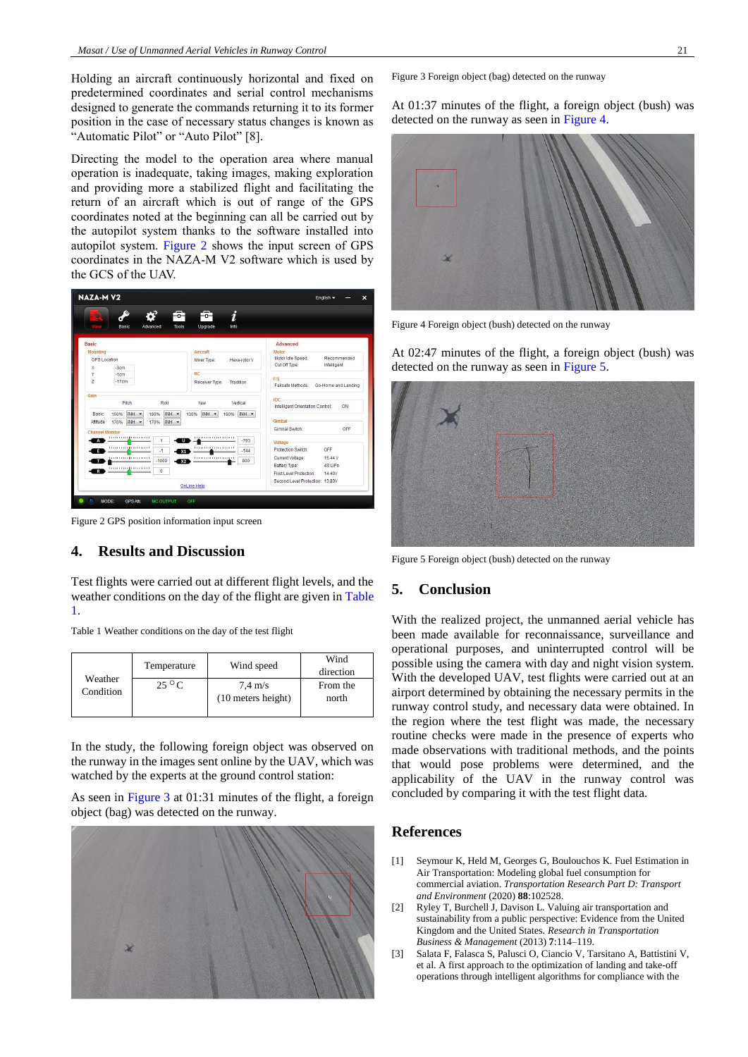Holding an aircraft continuously horizontal and fixed on predetermined coordinates and serial control mechanisms designed to generate the commands returning it to its former position in the case of necessary status changes is known as "Automatic Pilot" or "Auto Pilot" [8].

Directing the model to the operation area where manual operation is inadequate, taking images, making exploration and providing more a stabilized flight and facilitating the return of an aircraft which is out of range of the GPS coordinates noted at the beginning can all be carried out by the autopilot system thanks to the software installed into autopilot system. [Figure 2](#page-2-5) shows the input screen of GPS coordinates in the NAZA-M V2 software which is used by the GCS of the UAV.

| <b>NAZA-MV2</b>                                                                                                        |                                                                             | English -                                                                                                                            |
|------------------------------------------------------------------------------------------------------------------------|-----------------------------------------------------------------------------|--------------------------------------------------------------------------------------------------------------------------------------|
| го,<br>Basic<br>Advanced                                                                                               | i<br>Info<br><b>Tools</b><br>Upgrade                                        |                                                                                                                                      |
| <b>Basic</b><br><b>Mounting</b><br>GPS Location                                                                        | Aircraft<br>Mixer Type:<br>Hexa-rotor V                                     | Advanced<br>Motor<br>Motor Idle Speed:<br>Recommended                                                                                |
| $-3cm$<br>$\chi$<br>Υ<br>$-1cm$<br>$\overline{z}$<br>$-17cm$                                                           | RC.<br>Receiver Type:<br>Tradition                                          | Cut Off Type:<br>Intelligent<br>$-F/S$<br>Failsafe Methods: Go-Home and Landing                                                      |
| Gain<br>Pitch<br>Roll                                                                                                  | Vertical<br>Yaw                                                             | <b>IOC</b><br>Intelligent Orientation Control:<br>ON                                                                                 |
| INH -<br>INH -<br>160%<br>160%<br><b>Basic</b><br>INH -<br>INH -<br>170%<br>170%<br>Attitude<br><b>Channel Monitor</b> | INH -<br>160% INH -<br>130%                                                 | Gimbal<br>Gimbal Switch:<br>OFF                                                                                                      |
| <b>LOCALITY   LOCALITY</b><br>$\mathbf{1}$<br>$-1$<br>$-1000$<br>$\mathbf{0}$<br>$\overline{R}$                        | $-793$<br>υ<br>$-144$<br>X <sub>1</sub><br><b></b><br>800<br>X <sub>2</sub> | Voltage<br>OFF<br>Protection Switch:<br>15.44 V<br>Current Voltage:<br>Battery Type:<br>4S LiPo<br>First Level Protection:<br>14.40V |
|                                                                                                                        | <b>OnLine Help</b>                                                          | Second Level Protection: 13.80V                                                                                                      |

<span id="page-2-5"></span>Figure 2 GPS position information input screen

#### <span id="page-2-0"></span>**4. Results and Discussion**

Test flights were carried out at different flight levels, and the weather conditions on the day of the flight are given in [Table](#page-2-6)  [1.](#page-2-6)

<span id="page-2-6"></span>Table 1 Weather conditions on the day of the test flight

| Weather<br>Condition | Temperature    | Wind speed         | Wind<br>direction |
|----------------------|----------------|--------------------|-------------------|
|                      | $25^{\circ}$ C | $7.4 \text{ m/s}$  | From the          |
|                      |                | (10 meters height) | north             |
|                      |                |                    |                   |

In the study, the following foreign object was observed on the runway in the images sent online by the UAV, which was watched by the experts at the ground control station:

As seen in [Figure 3](#page-2-7) at 01:31 minutes of the flight, a foreign object (bag) was detected on the runway.



<span id="page-2-7"></span>Figure 3 Foreign object (bag) detected on the runway

At 01:37 minutes of the flight, a foreign object (bush) was detected on the runway as seen i[n Figure 4.](#page-2-8)



<span id="page-2-8"></span>Figure 4 Foreign object (bush) detected on the runway

At 02:47 minutes of the flight, a foreign object (bush) was detected on the runway as seen in [Figure 5.](#page-2-9)



Figure 5 Foreign object (bush) detected on the runway

#### <span id="page-2-9"></span><span id="page-2-1"></span>**5. Conclusion**

With the realized project, the unmanned aerial vehicle has been made available for reconnaissance, surveillance and operational purposes, and uninterrupted control will be possible using the camera with day and night vision system. With the developed UAV, test flights were carried out at an airport determined by obtaining the necessary permits in the runway control study, and necessary data were obtained. In the region where the test flight was made, the necessary routine checks were made in the presence of experts who made observations with traditional methods, and the points that would pose problems were determined, and the applicability of the UAV in the runway control was concluded by comparing it with the test flight data.

#### <span id="page-2-2"></span>**References**

- <span id="page-2-3"></span>[1] Seymour K, Held M, Georges G, Boulouchos K. Fuel Estimation in Air Transportation: Modeling global fuel consumption for commercial aviation. *Transportation Research Part D: Transport and Environment* (2020) **88**:102528.
- [2] Ryley T, Burchell J, Davison L. Valuing air transportation and sustainability from a public perspective: Evidence from the United Kingdom and the United States. *Research in Transportation Business & Management* (2013) **7**:114–119.
- <span id="page-2-4"></span>[3] Salata F, Falasca S, Palusci O, Ciancio V, Tarsitano A, Battistini V, et al. A first approach to the optimization of landing and take-off operations through intelligent algorithms for compliance with the